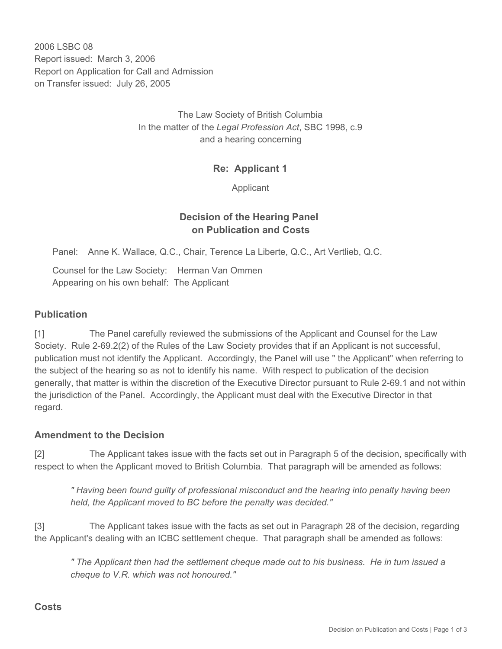2006 LSBC 08 Report issued: March 3, 2006 Report on Application for Call and Admission on Transfer issued: July 26, 2005

> The Law Society of British Columbia In the matter of the *Legal Profession Act*, SBC 1998, c.9 and a hearing concerning

## **Re: Applicant 1**

Applicant

# **Decision of the Hearing Panel on Publication and Costs**

Panel: Anne K. Wallace, Q.C., Chair, Terence La Liberte, Q.C., Art Vertlieb, Q.C.

Counsel for the Law Society: Herman Van Ommen Appearing on his own behalf: The Applicant

## **Publication**

[1] The Panel carefully reviewed the submissions of the Applicant and Counsel for the Law Society. Rule 2-69.2(2) of the Rules of the Law Society provides that if an Applicant is not successful, publication must not identify the Applicant. Accordingly, the Panel will use " the Applicant" when referring to the subject of the hearing so as not to identify his name. With respect to publication of the decision generally, that matter is within the discretion of the Executive Director pursuant to Rule 2-69.1 and not within the jurisdiction of the Panel. Accordingly, the Applicant must deal with the Executive Director in that regard.

## **Amendment to the Decision**

[2] The Applicant takes issue with the facts set out in Paragraph 5 of the decision, specifically with respect to when the Applicant moved to British Columbia. That paragraph will be amended as follows:

*" Having been found guilty of professional misconduct and the hearing into penalty having been held, the Applicant moved to BC before the penalty was decided."* 

[3] The Applicant takes issue with the facts as set out in Paragraph 28 of the decision, regarding the Applicant's dealing with an ICBC settlement cheque. That paragraph shall be amended as follows:

*" The Applicant then had the settlement cheque made out to his business. He in turn issued a cheque to V.R. which was not honoured."*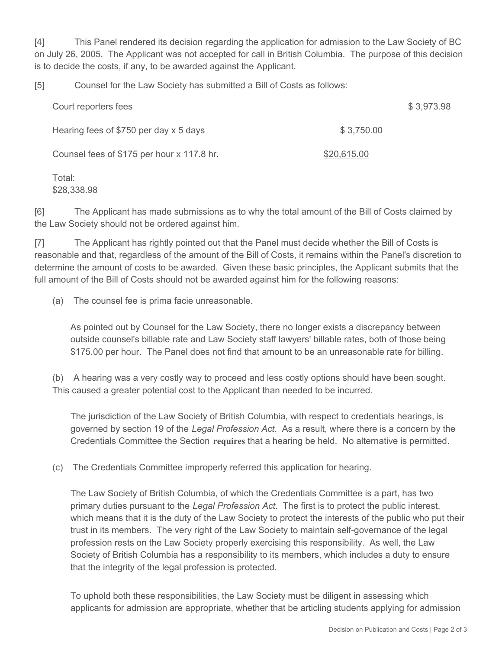[4] This Panel rendered its decision regarding the application for admission to the Law Society of BC on July 26, 2005. The Applicant was not accepted for call in British Columbia. The purpose of this decision is to decide the costs, if any, to be awarded against the Applicant.

[5] Counsel for the Law Society has submitted a Bill of Costs as follows:

| Court reporters fees                       |             | \$3,973.98 |
|--------------------------------------------|-------------|------------|
| Hearing fees of \$750 per day x 5 days     | \$3,750.00  |            |
| Counsel fees of \$175 per hour x 117.8 hr. | \$20,615.00 |            |

Total: \$28,338.98

[6] The Applicant has made submissions as to why the total amount of the Bill of Costs claimed by the Law Society should not be ordered against him.

[7] The Applicant has rightly pointed out that the Panel must decide whether the Bill of Costs is reasonable and that, regardless of the amount of the Bill of Costs, it remains within the Panel's discretion to determine the amount of costs to be awarded. Given these basic principles, the Applicant submits that the full amount of the Bill of Costs should not be awarded against him for the following reasons:

(a) The counsel fee is prima facie unreasonable.

As pointed out by Counsel for the Law Society, there no longer exists a discrepancy between outside counsel's billable rate and Law Society staff lawyers' billable rates, both of those being \$175.00 per hour. The Panel does not find that amount to be an unreasonable rate for billing.

(b) A hearing was a very costly way to proceed and less costly options should have been sought. This caused a greater potential cost to the Applicant than needed to be incurred.

The jurisdiction of the Law Society of British Columbia, with respect to credentials hearings, is governed by section 19 of the *Legal Profession Act*. As a result, where there is a concern by the Credentials Committee the Section **requires** that a hearing be held. No alternative is permitted.

(c) The Credentials Committee improperly referred this application for hearing.

The Law Society of British Columbia, of which the Credentials Committee is a part, has two primary duties pursuant to the *Legal Profession Act*. The first is to protect the public interest, which means that it is the duty of the Law Society to protect the interests of the public who put their trust in its members. The very right of the Law Society to maintain self-governance of the legal profession rests on the Law Society properly exercising this responsibility. As well, the Law Society of British Columbia has a responsibility to its members, which includes a duty to ensure that the integrity of the legal profession is protected.

To uphold both these responsibilities, the Law Society must be diligent in assessing which applicants for admission are appropriate, whether that be articling students applying for admission